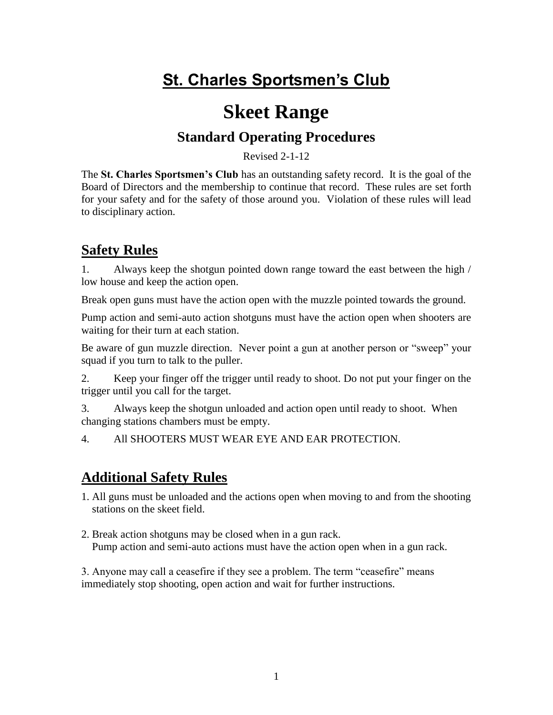# **St. Charles Sportsmen's Club**

## **Skeet Range**

## **Standard Operating Procedures**

Revised 2-1-12

The **St. Charles Sportsmen's Club** has an outstanding safety record. It is the goal of the Board of Directors and the membership to continue that record. These rules are set forth for your safety and for the safety of those around you. Violation of these rules will lead to disciplinary action.

### **Safety Rules**

1. Always keep the shotgun pointed down range toward the east between the high / low house and keep the action open.

Break open guns must have the action open with the muzzle pointed towards the ground.

Pump action and semi-auto action shotguns must have the action open when shooters are waiting for their turn at each station.

Be aware of gun muzzle direction. Never point a gun at another person or "sweep" your squad if you turn to talk to the puller.

2. Keep your finger off the trigger until ready to shoot. Do not put your finger on the trigger until you call for the target.

3. Always keep the shotgun unloaded and action open until ready to shoot. When changing stations chambers must be empty.

4. All SHOOTERS MUST WEAR EYE AND EAR PROTECTION.

### **Additional Safety Rules**

- 1. All guns must be unloaded and the actions open when moving to and from the shooting stations on the skeet field.
- 2. Break action shotguns may be closed when in a gun rack. Pump action and semi-auto actions must have the action open when in a gun rack.

3. Anyone may call a ceasefire if they see a problem. The term "ceasefire" means immediately stop shooting, open action and wait for further instructions.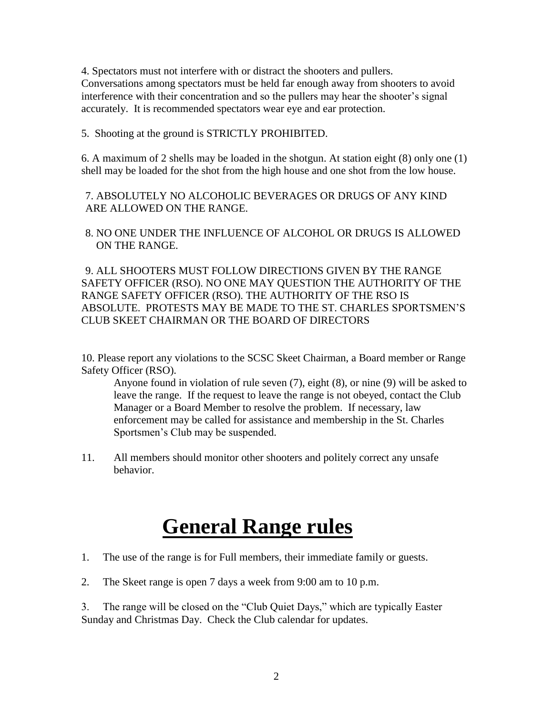4. Spectators must not interfere with or distract the shooters and pullers. Conversations among spectators must be held far enough away from shooters to avoid interference with their concentration and so the pullers may hear the shooter's signal accurately. It is recommended spectators wear eye and ear protection.

5. Shooting at the ground is STRICTLY PROHIBITED.

6. A maximum of 2 shells may be loaded in the shotgun. At station eight (8) only one (1) shell may be loaded for the shot from the high house and one shot from the low house.

7. ABSOLUTELY NO ALCOHOLIC BEVERAGES OR DRUGS OF ANY KIND ARE ALLOWED ON THE RANGE.

8. NO ONE UNDER THE INFLUENCE OF ALCOHOL OR DRUGS IS ALLOWED ON THE RANGE.

9. ALL SHOOTERS MUST FOLLOW DIRECTIONS GIVEN BY THE RANGE SAFETY OFFICER (RSO). NO ONE MAY QUESTION THE AUTHORITY OF THE RANGE SAFETY OFFICER (RSO). THE AUTHORITY OF THE RSO IS ABSOLUTE. PROTESTS MAY BE MADE TO THE ST. CHARLES SPORTSMEN'S CLUB SKEET CHAIRMAN OR THE BOARD OF DIRECTORS

10. Please report any violations to the SCSC Skeet Chairman, a Board member or Range Safety Officer (RSO).

Anyone found in violation of rule seven (7), eight (8), or nine (9) will be asked to leave the range. If the request to leave the range is not obeyed, contact the Club Manager or a Board Member to resolve the problem. If necessary, law enforcement may be called for assistance and membership in the St. Charles Sportsmen's Club may be suspended.

11. All members should monitor other shooters and politely correct any unsafe behavior.

# **General Range rules**

- 1. The use of the range is for Full members, their immediate family or guests.
- 2. The Skeet range is open 7 days a week from 9:00 am to 10 p.m.

3. The range will be closed on the "Club Quiet Days," which are typically Easter Sunday and Christmas Day. Check the Club calendar for updates.